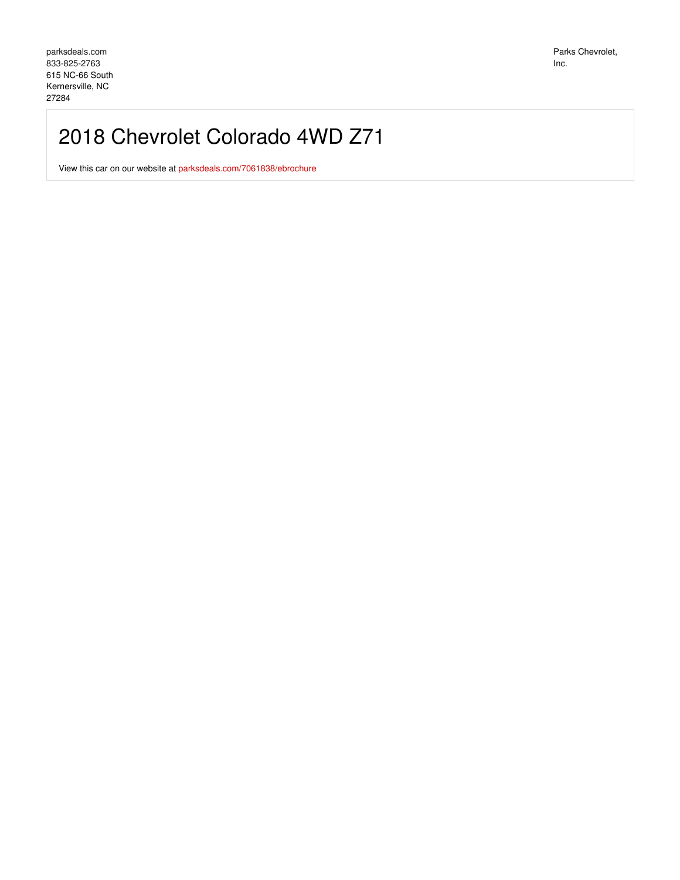## 2018 Chevrolet Colorado 4WD Z71

View this car on our website at [parksdeals.com/7061838/ebrochure](file:///7061838/ebrochure)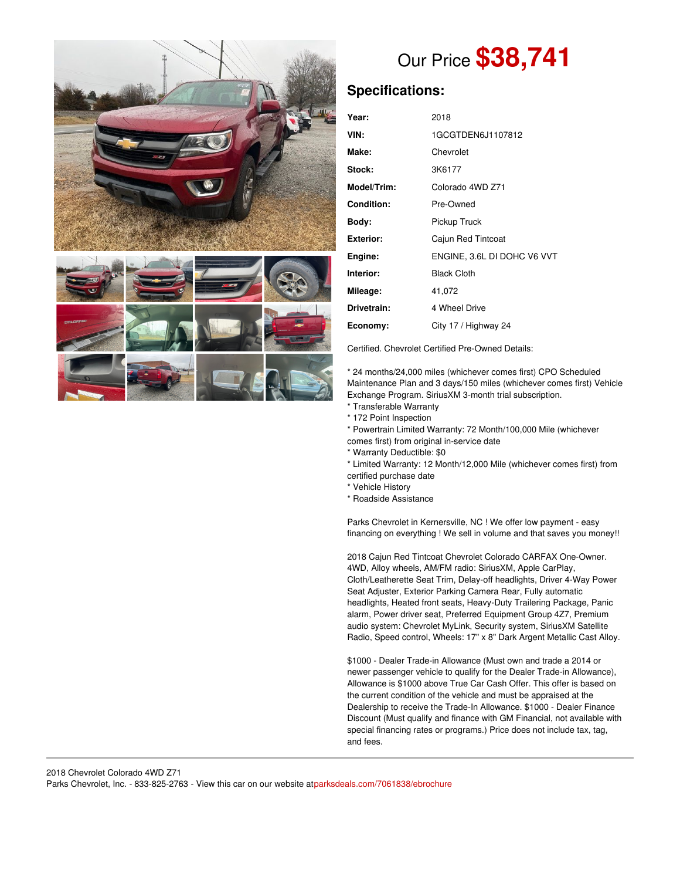

# Our Price **\$38,741**

## **Specifications:**

| Year:             | 2018                        |
|-------------------|-----------------------------|
| VIN:              | 1GCGTDEN6J1107812           |
| Make:             | Chevrolet                   |
| Stock:            | 3K6177                      |
| Model/Trim:       | Colorado 4WD Z71            |
| <b>Condition:</b> | Pre-Owned                   |
| Body:             | Pickup Truck                |
| <b>Exterior:</b>  | Cajun Red Tintcoat          |
| Engine:           | ENGINE, 3.6L DI DOHC V6 VVT |
| Interior:         | <b>Black Cloth</b>          |
| Mileage:          | 41,072                      |
| Drivetrain:       | 4 Wheel Drive               |
| Economy:          | City 17 / Highway 24        |

Certified. Chevrolet Certified Pre-Owned Details:

\* 24 months/24,000 miles (whichever comes first) CPO Scheduled Maintenance Plan and 3 days/150 miles (whichever comes first) Vehicle Exchange Program. SiriusXM 3-month trial subscription.

- \* Transferable Warranty
- \* 172 Point Inspection
- \* Powertrain Limited Warranty: 72 Month/100,000 Mile (whichever
- comes first) from original in-service date
- \* Warranty Deductible: \$0
- \* Limited Warranty: 12 Month/12,000 Mile (whichever comes first) from certified purchase date
- \* Vehicle History
- \* Roadside Assistance

Parks Chevrolet in Kernersville, NC ! We offer low payment - easy financing on everything ! We sell in volume and that saves you money!!

2018 Cajun Red Tintcoat Chevrolet Colorado CARFAX One-Owner. 4WD, Alloy wheels, AM/FM radio: SiriusXM, Apple CarPlay, Cloth/Leatherette Seat Trim, Delay-off headlights, Driver 4-Way Power Seat Adjuster, Exterior Parking Camera Rear, Fully automatic headlights, Heated front seats, Heavy-Duty Trailering Package, Panic alarm, Power driver seat, Preferred Equipment Group 4Z7, Premium audio system: Chevrolet MyLink, Security system, SiriusXM Satellite Radio, Speed control, Wheels: 17" x 8" Dark Argent Metallic Cast Alloy.

\$1000 - Dealer Trade-in Allowance (Must own and trade a 2014 or newer passenger vehicle to qualify for the Dealer Trade-in Allowance), Allowance is \$1000 above True Car Cash Offer. This offer is based on the current condition of the vehicle and must be appraised at the Dealership to receive the Trade-In Allowance. \$1000 - Dealer Finance Discount (Must qualify and finance with GM Financial, not available with special financing rates or programs.) Price does not include tax, tag, and fees.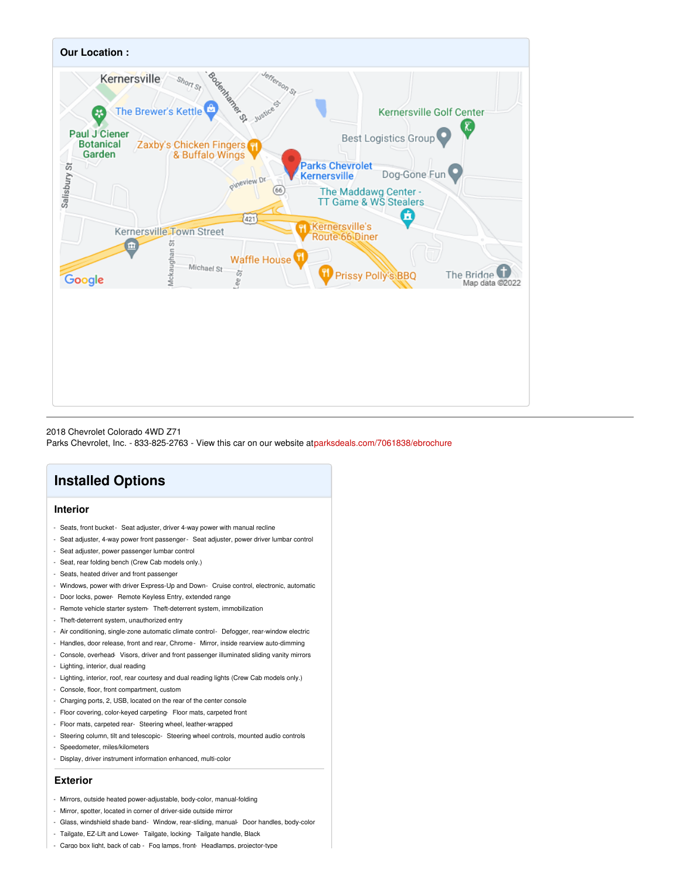

#### 2018 Chevrolet Colorado 4WD Z71

Parks Chevrolet, Inc. - 833-825-2763 - View this car on our website a[tparksdeals.com/7061838/ebrochure](file:///7061838/ebrochure)

## **Installed Options**

#### **Interior**

- Seats, front bucket- Seat adjuster, driver 4-way power with manual recline
- Seat adjuster, 4-way power front passenger- Seat adjuster, power driver lumbar control
- Seat adjuster, power passenger lumbar control
- Seat, rear folding bench (Crew Cab models only.)
- Seats, heated driver and front passenger
- Windows, power with driver Express-Up and Down- Cruise control, electronic, automatic
- Door locks, power- Remote Keyless Entry, extended range
- Remote vehicle starter system- Theft-deterrent system, immobilization
- Theft-deterrent system, unauthorized entry
- Air conditioning, single-zone automatic climate control- Defogger, rear-window electric
- Handles, door release, front and rear, Chrome- Mirror, inside rearview auto-dimming
- Console, overhead- Visors, driver and front passenger illuminated sliding vanity mirrors
- Lighting, interior, dual reading
- Lighting, interior, roof, rear courtesy and dual reading lights (Crew Cab models only.)
- Console, floor, front compartment, custom
- Charging ports, 2, USB, located on the rear of the center console
- Floor covering, color-keyed carpeting- Floor mats, carpeted front
- Floor mats, carpeted rear- Steering wheel, leather-wrapped
- Steering column, tilt and telescopic- Steering wheel controls, mounted audio controls
- Speedometer, miles/kilometers
- Display, driver instrument information enhanced, multi-color

#### **Exterior**

- Mirrors, outside heated power-adjustable, body-color, manual-folding
- Mirror, spotter, located in corner of driver-side outside mirror
- Glass, windshield shade band- Window, rear-sliding, manual- Door handles, body-color
- Tailgate, EZ-Lift and Lower- Tailgate, locking- Tailgate handle, Black
- Cargo box light, back of cab Fog lamps, front- Headlamps, projector-type